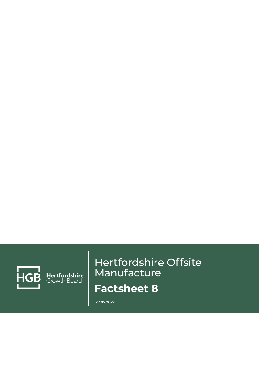

Hertfordshire<br>Growth Board

# Hertfordshire Offsite Manufacture **Factsheet 8**

**27.05.2022**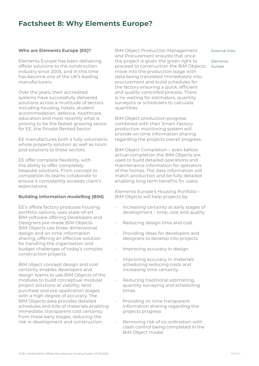### **Factsheet 8: Why Elements Europe?**

#### **Who are Elements Europe (EE)?**

Elements Europe has been delivering offsite solutions to the construction industry since 2005, and in this time has become one of the UK's leading manufacturers.

Over the years, their accredited systems have successfully delivered solutions across a multitude of sectors including housing, hotels, student accommodation, defence, healthcare, education and most recently what is proving to be the fastest growing sector for EE, the Private Rented Sector.

EE manufactures both a fully volumetric whole property solution as well as room pod solutions to these sectors.

EE offer complete flexibility, with the ability to offer completely bespoke solutions. From concept to completion its teams collaborate to ensure it consistently exceeds client's expectations.

#### **Building information modelling (BIM)**

EE's offsite factory produces housing portfolio options, uses state-of-art BIM software offering Developers and Designers pre-made BIM Objects. BIM Objects use three-dimensional design and on-time information sharing, offering an effective solution for handling the organisation and budget challenges of today's complex construction projects.

BIM object concept design and cost certainty enables developers and design teams to use BIM Objects of the modules to build conceptual modular project solutions at viability, land purchase and pre-application stages with a high degree of accuracy. The BIM Objects data provides detailed schedules and bills of materials enabling immediate, transparent cost certainty from these early stages, reducing the risk in development and construction.

BIM Object Production Management and Procurement ensures that once the project is given the green light to proceed to construction the BIM Objects move into the production stage with data being translated immediately into procurement and build schedules for the factory ensuring a quick, efficient and quality controlled process. There is no waiting for estimators, quantity surveyors or schedulers to calculate quantities.

BIM Object production progress combined with their Smart Factory production monitoring system will provide on-time information sharing regarding the projects overall progress.

BIM Object Completion – even before actual completion the BIM Objects are used to build detailed operations and maintenance information for operators of the homes. The data information will match production and be fully detailed enabling long term benefits for users.

Elements Europe's Housing Portfolio – BIM Objects will help projects by:

- Increasing certainty at early stages of development – time, cost and quality
- Reducing design time and cost
- Providing ideas for developers and designers to develop into projects
- Improving accuracy in design
- Improving accuracy in materials scheduling reducing costs and increasing time certainty
- Reducing traditional estimating. quantity surveying and scheduling times
- Providing on time transparent information sharing regarding the projects progress
- Removing risk of co-ordination with clash control being completed in the BIM Object model

#### External links:

Elements Europe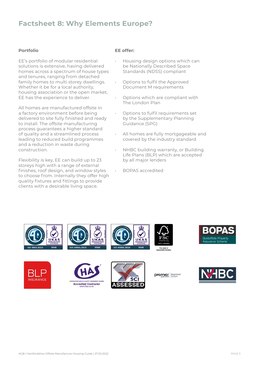# **Factsheet 8: Why Elements Europe?**

#### **Portfolio**

EE's portfolio of modular residential solutions is extensive, having delivered homes across a spectrum of house types and tenures, ranging from detached family homes to multi storey dwellings. Whether it be for a local authority, housing association or the open market, EE has the experience to deliver.

All homes are manufactured offsite in a factory environment before being delivered to site fully finished and ready to install. The offsite manufacturing process guarantees a higher standard of quality and a streamlined process leading to reduced build programmes and a reduction in waste during construction.

Flexibility is key, EE can build up to 23 storeys high with a range of external finishes, roof design, and window styles to choose from. Internally they offer high quality fixtures and fittings to provide clients with a desirable living space.

#### **EE offer:**

- Housing design options which can be Nationally Described Space Standards (NDSS) compliant
- Options to fulfil the Approved Document M requirements
- Options which are compliant with The London Plan
- Options to fulfil requirements set by the Supplementary Planning Guidance (SPG)
- All homes are fully mortgageable and covered by the industry standard
- NHBC building warranty, or Building Life Plans (BLP) which are accepted by all major lenders
	- BOPAS accredited



















premier, Approved